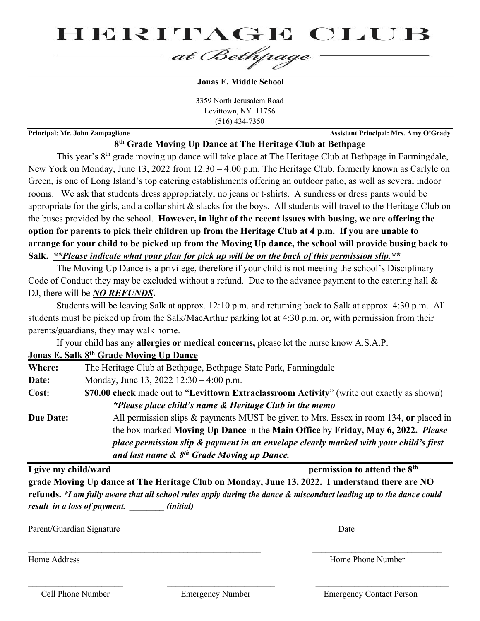

**Jonas E. Middle School**

3359 North Jerusalem Road Levittown, NY 11756 (516) 434-7350

**Principal: Mr. John Zampaglione Assistant Principal: Mrs. Amy O'Grady** 

## **8th Grade Moving Up Dance at The Heritage Club at Bethpage**

This year's 8<sup>th</sup> grade moving up dance will take place at The Heritage Club at Bethpage in Farmingdale, New York on Monday, June 13, 2022 from 12:30 – 4:00 p.m. The Heritage Club, formerly known as Carlyle on Green, is one of Long Island's top catering establishments offering an outdoor patio, as well as several indoor rooms. We ask that students dress appropriately, no jeans or t-shirts. A sundress or dress pants would be appropriate for the girls, and a collar shirt & slacks for the boys. All students will travel to the Heritage Club on the buses provided by the school. **However, in light of the recent issues with busing, we are offering the option for parents to pick their children up from the Heritage Club at 4 p.m. If you are unable to arrange for your child to be picked up from the Moving Up dance, the school will provide busing back to Salk.** *\*\*Please indicate what your plan for pick up will be on the back of this permission slip.\*\**

The Moving Up Dance is a privilege, therefore if your child is not meeting the school's Disciplinary Code of Conduct they may be excluded without a refund. Due to the advance payment to the catering hall & DJ, there will be *NO REFUNDS***.**

Students will be leaving Salk at approx. 12:10 p.m. and returning back to Salk at approx. 4:30 p.m. All students must be picked up from the Salk/MacArthur parking lot at 4:30 p.m. or, with permission from their parents/guardians, they may walk home.

If your child has any **allergies or medical concerns,** please let the nurse know A.S.A.P.

## **Jonas E. Salk 8th Grade Moving Up Dance**

| Where:           | The Heritage Club at Bethpage, Bethpage State Park, Farmingdale                            |
|------------------|--------------------------------------------------------------------------------------------|
| Date:            | Monday, June 13, 2022 $12:30 - 4:00$ p.m.                                                  |
| Cost:            | \$70.00 check made out to "Levittown Extraclassroom Activity" (write out exactly as shown) |
|                  | *Please place child's name & Heritage Club in the memo                                     |
| <b>Due Date:</b> | All permission slips & payments MUST be given to Mrs. Essex in room 134, or placed in      |
|                  | the box marked Moving Up Dance in the Main Office by Friday, May 6, 2022. Please           |
|                  | place permission slip & payment in an envelope clearly marked with your child's first      |
|                  | and last name $\&$ $8^{th}$ Grade Moving up Dance.                                         |

**I** give my child/ward **intervalue of the State of the State of the State of the State of the State of the State of the State of the State of the State of the State of the State of the State of the State of the State of th grade Moving Up dance at The Heritage Club on Monday, June 13, 2022. I understand there are NO refunds.** *\*I am fully aware that all school rules apply during the dance & misconduct leading up to the dance could result in a loss of payment. \_\_\_\_\_\_\_\_ (initial)*

**\_\_\_\_\_\_\_\_\_\_\_\_\_\_\_\_\_\_\_\_\_\_\_\_\_\_\_\_\_\_\_\_\_\_\_\_\_\_\_\_\_\_\_\_\_\_ \_\_\_\_\_\_\_\_\_\_\_\_\_\_\_\_\_\_\_\_\_\_\_\_\_\_\_\_**

 $\_$  , and the set of the set of the set of the set of the set of the set of the set of the set of the set of the set of the set of the set of the set of the set of the set of the set of the set of the set of the set of th

 $\_$  , and the contribution of the contribution of  $\overline{\mathcal{L}}$  , and  $\overline{\mathcal{L}}$  , and  $\overline{\mathcal{L}}$  , and  $\overline{\mathcal{L}}$ 

Parent/Guardian Signature Date

Home Address **Home Address** Home Phone Number